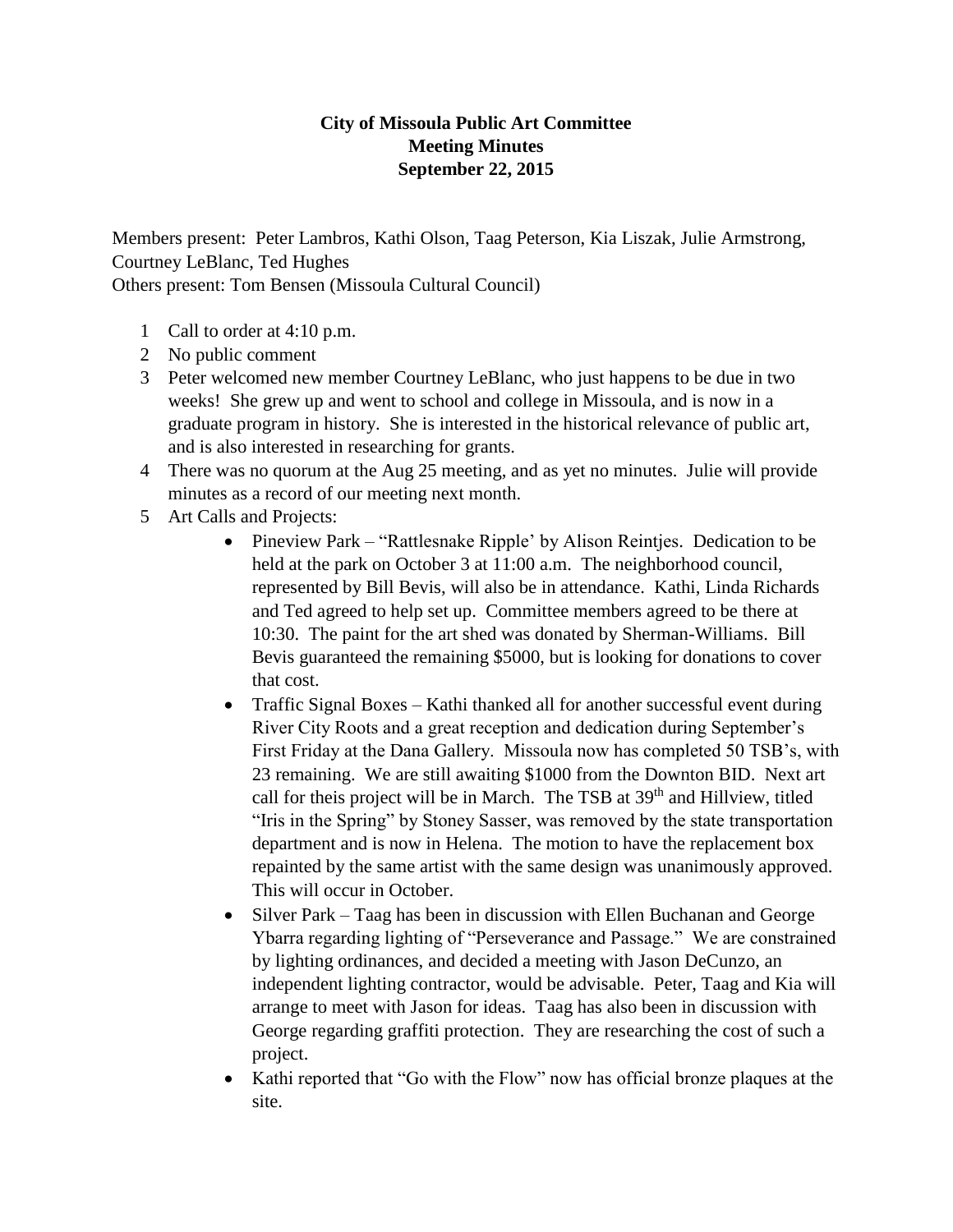## **City of Missoula Public Art Committee Meeting Minutes September 22, 2015**

Members present: Peter Lambros, Kathi Olson, Taag Peterson, Kia Liszak, Julie Armstrong, Courtney LeBlanc, Ted Hughes Others present: Tom Bensen (Missoula Cultural Council)

- 1 Call to order at 4:10 p.m.
- 2 No public comment
- 3 Peter welcomed new member Courtney LeBlanc, who just happens to be due in two weeks! She grew up and went to school and college in Missoula, and is now in a graduate program in history. She is interested in the historical relevance of public art, and is also interested in researching for grants.
- 4 There was no quorum at the Aug 25 meeting, and as yet no minutes. Julie will provide minutes as a record of our meeting next month.
- 5 Art Calls and Projects:
	- Pineview Park "Rattlesnake Ripple' by Alison Reinties. Dedication to be held at the park on October 3 at 11:00 a.m. The neighborhood council, represented by Bill Bevis, will also be in attendance. Kathi, Linda Richards and Ted agreed to help set up. Committee members agreed to be there at 10:30. The paint for the art shed was donated by Sherman-Williams. Bill Bevis guaranteed the remaining \$5000, but is looking for donations to cover that cost.
	- Traffic Signal Boxes Kathi thanked all for another successful event during River City Roots and a great reception and dedication during September's First Friday at the Dana Gallery. Missoula now has completed 50 TSB's, with 23 remaining. We are still awaiting \$1000 from the Downton BID. Next art call for theis project will be in March. The TSB at 39<sup>th</sup> and Hillview, titled "Iris in the Spring" by Stoney Sasser, was removed by the state transportation department and is now in Helena. The motion to have the replacement box repainted by the same artist with the same design was unanimously approved. This will occur in October.
	- Silver Park Taag has been in discussion with Ellen Buchanan and George Ybarra regarding lighting of "Perseverance and Passage." We are constrained by lighting ordinances, and decided a meeting with Jason DeCunzo, an independent lighting contractor, would be advisable. Peter, Taag and Kia will arrange to meet with Jason for ideas. Taag has also been in discussion with George regarding graffiti protection. They are researching the cost of such a project.
	- Kathi reported that "Go with the Flow" now has official bronze plaques at the site.